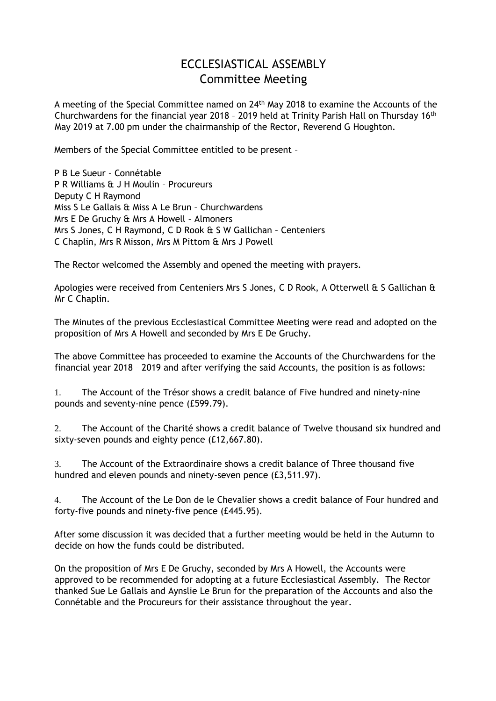## ECCLESIASTICAL ASSEMBLY Committee Meeting

A meeting of the Special Committee named on 24<sup>th</sup> May 2018 to examine the Accounts of the Churchwardens for the financial year 2018 - 2019 held at Trinity Parish Hall on Thursday 16<sup>th</sup> May 2019 at 7.00 pm under the chairmanship of the Rector, Reverend G Houghton.

Members of the Special Committee entitled to be present –

P B Le Sueur – Connétable P R Williams & J H Moulin – Procureurs Deputy C H Raymond Miss S Le Gallais & Miss A Le Brun – Churchwardens Mrs E De Gruchy & Mrs A Howell – Almoners Mrs S Jones, C H Raymond, C D Rook & S W Gallichan – Centeniers C Chaplin, Mrs R Misson, Mrs M Pittom & Mrs J Powell

The Rector welcomed the Assembly and opened the meeting with prayers.

Apologies were received from Centeniers Mrs S Jones, C D Rook, A Otterwell & S Gallichan & Mr C Chaplin.

The Minutes of the previous Ecclesiastical Committee Meeting were read and adopted on the proposition of Mrs A Howell and seconded by Mrs E De Gruchy.

The above Committee has proceeded to examine the Accounts of the Churchwardens for the financial year 2018 – 2019 and after verifying the said Accounts, the position is as follows:

1. The Account of the Trésor shows a credit balance of Five hundred and ninety-nine pounds and seventy-nine pence (£599.79).

2. The Account of the Charité shows a credit balance of Twelve thousand six hundred and sixty-seven pounds and eighty pence (£12,667.80).

3. The Account of the Extraordinaire shows a credit balance of Three thousand five hundred and eleven pounds and ninety-seven pence (£3,511.97).

4. The Account of the Le Don de le Chevalier shows a credit balance of Four hundred and forty-five pounds and ninety-five pence (£445.95).

After some discussion it was decided that a further meeting would be held in the Autumn to decide on how the funds could be distributed.

On the proposition of Mrs E De Gruchy, seconded by Mrs A Howell, the Accounts were approved to be recommended for adopting at a future Ecclesiastical Assembly. The Rector thanked Sue Le Gallais and Aynslie Le Brun for the preparation of the Accounts and also the Connétable and the Procureurs for their assistance throughout the year.